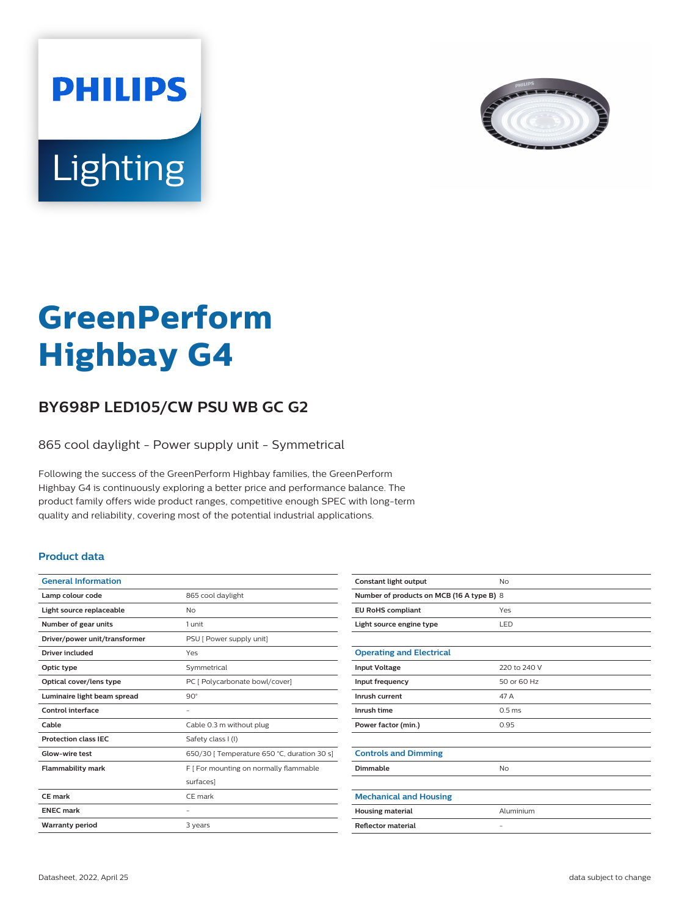



# **GreenPerform Highbay G4**

## **BY698P LED105/CW PSU WB GC G2**

865 cool daylight - Power supply unit - Symmetrical

Following the success of the GreenPerform Highbay families, the GreenPerform Highbay G4 is continuously exploring a better price and performance balance. The product family offers wide product ranges, competitive enough SPEC with long-term quality and reliability, covering most of the potential industrial applications.

#### **Product data**

| 865 cool daylight                           |
|---------------------------------------------|
| No                                          |
| 1 unit                                      |
| PSU [ Power supply unit]                    |
| Yes                                         |
| Symmetrical                                 |
| PC [ Polycarbonate bowl/cover]              |
| $90^\circ$                                  |
|                                             |
| Cable 0.3 m without plug                    |
| Safety class I (I)                          |
| 650/30   Temperature 650 °C, duration 30 s] |
| F   For mounting on normally flammable      |
| surfaces]                                   |
| CF mark                                     |
|                                             |
|                                             |
|                                             |

| Constant light output                     | No                |  |
|-------------------------------------------|-------------------|--|
| Number of products on MCB (16 A type B) 8 |                   |  |
| <b>EU RoHS compliant</b>                  | Yes               |  |
| Light source engine type                  | LED               |  |
|                                           |                   |  |
| <b>Operating and Electrical</b>           |                   |  |
| <b>Input Voltage</b>                      | 220 to 240 V      |  |
| Input frequency                           | 50 or 60 Hz       |  |
| Inrush current                            | 47 A              |  |
| Inrush time                               | 0.5 <sub>ms</sub> |  |
| Power factor (min.)                       | 0.95              |  |
|                                           |                   |  |
| <b>Controls and Dimming</b>               |                   |  |
| Dimmable                                  | <b>No</b>         |  |
|                                           |                   |  |
| <b>Mechanical and Housing</b>             |                   |  |
| <b>Housing material</b>                   | Aluminium         |  |
| <b>Reflector material</b>                 | $\qquad \qquad -$ |  |
|                                           |                   |  |